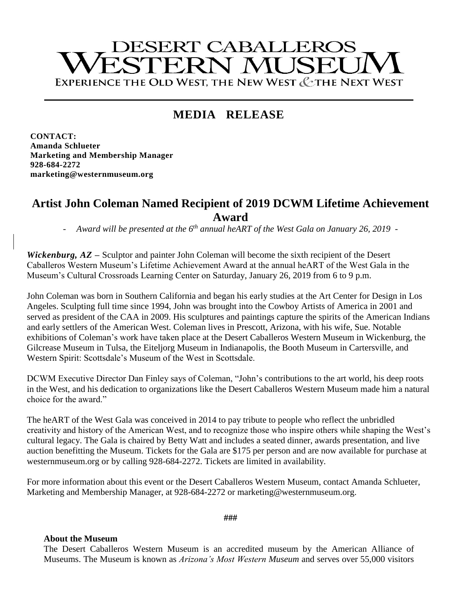# **DESERT CABALLEROS** ESTERN MUSEU EXPERIENCE THE OLD WEST. THE NEW WEST & THE NEXT WEST

## **MEDIA RELEASE**

**CONTACT: Amanda Schlueter Marketing and Membership Manager 928-684-2272 marketing@westernmuseum.org**

### **Artist John Coleman Named Recipient of 2019 DCWM Lifetime Achievement Award**

- *Award will be presented at the 6th annual heART of the West Gala on January 26, 2019 -*

*Wickenburg, AZ* **–** Sculptor and painter John Coleman will become the sixth recipient of the Desert Caballeros Western Museum's Lifetime Achievement Award at the annual heART of the West Gala in the Museum's Cultural Crossroads Learning Center on Saturday, January 26, 2019 from 6 to 9 p.m.

John Coleman was born in Southern California and began his early studies at the Art Center for Design in Los Angeles. Sculpting full time since 1994, John was brought into the Cowboy Artists of America in 2001 and served as president of the CAA in 2009. His sculptures and paintings capture the spirits of the American Indians and early settlers of the American West. Coleman lives in Prescott, Arizona, with his wife, Sue. Notable exhibitions of Coleman's work have taken place at the Desert Caballeros Western Museum in Wickenburg, the Gilcrease Museum in Tulsa, the Eiteljorg Museum in Indianapolis, the Booth Museum in Cartersville, and Western Spirit: Scottsdale's Museum of the West in Scottsdale.

DCWM Executive Director Dan Finley says of Coleman, "John's contributions to the art world, his deep roots in the West, and his dedication to organizations like the Desert Caballeros Western Museum made him a natural choice for the award."

The heART of the West Gala was conceived in 2014 to pay tribute to people who reflect the unbridled creativity and history of the American West, and to recognize those who inspire others while shaping the West's cultural legacy. The Gala is chaired by Betty Watt and includes a seated dinner, awards presentation, and live auction benefitting the Museum. Tickets for the Gala are \$175 per person and are now available for purchase at westernmuseum.org or by calling 928-684-2272. Tickets are limited in availability.

For more information about this event or the Desert Caballeros Western Museum, contact Amanda Schlueter, Marketing and Membership Manager, at 928-684-2272 or marketing@westernmuseum.org.

**###**

#### **About the Museum**

The Desert Caballeros Western Museum is an accredited museum by the American Alliance of Museums. The Museum is known as *Arizona's Most Western Museum* and serves over 55,000 visitors